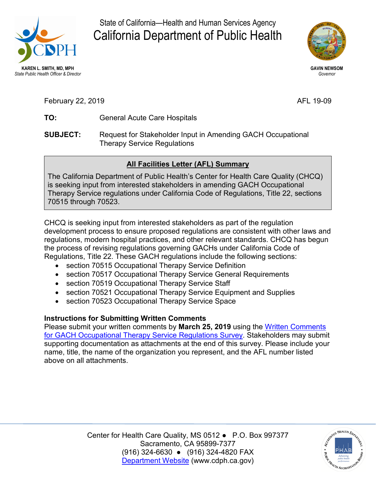

State of California—Health and Human Services Agency California Department of Public Health



**GAVIN NEWSOM**  *Governor* 

AFL 19-09

- TO: February 22, 2 **TO:** <sup>019</sup> General Acute Care Hospitals
- **SUBJECT:** Request for Stakeholder Input in Amending GACH Occupational Therapy Service Regulations

## **All Facilities Letter (AFL) Summary**

The California Department of Public Health's Center for Health Care Quality (CHCQ) is seeking input from interested stakeholders in amending GACH Occupational Therapy Service regulations under California Code of Regulations, Title 22, sections 70515 through 70523.

 CHCQ is seeking input from interested stakeholders as part of the regulation Regulations, Title 22. These GACH regulations include the following sections: development process to ensure proposed regulations are consistent with other laws and regulations, modern hospital practices, and other relevant standards. CHCQ has begun the process of revising regulations governing GACHs under California Code of

- section 70515 Occupational Therapy Service Definition
- section 70517 Occupational Therapy Service General Requirements
- section 70519 Occupational Therapy Service Staff
- section 70521 Occupational Therapy Service Equipment and Supplies
- section 70523 Occupational Therapy Service Space

## **Instructions for Submitting Written Comments**

 [for GACH Occupational Therapy Service Regulations Survey.](https://www.surveymonkey.com/r/JCGBMPG) Stakeholders may submit Please submit your written comments by **March 25, 2019** using the [Written Comments](https://www.surveymonkey.com/r/JCGBMPG)  supporting documentation as attachments at the end of this survey. Please include your name, title, the name of the organization you represent, and the AFL number listed above on all attachments.